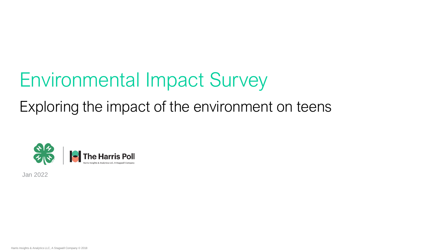# Environmental Impact Survey

# Exploring the impact of the environment on teens



Jan 2022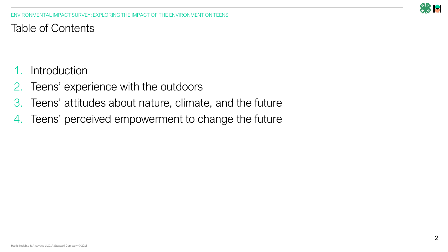

ENVIRONMENTAL IMPACT SURVEY: EXPLORING THE IMPACT OF THE ENVIRONMENT ON TEENS

Table of Contents

- 1. Introduction
- 2. Teens' experience with the outdoors
- 3. Teens' attitudes about nature, climate, and the future
- 4. Teens' perceived empowerment to change the future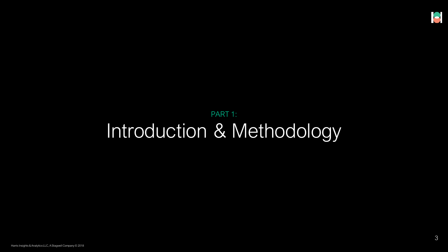# PART 1: Introduction & Methodology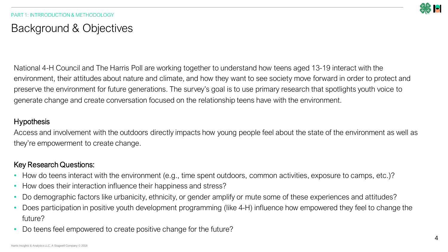

## Background & Objectives

National 4-H Council and The Harris Poll are working together to understand how teens aged 13-19 interact with the environment, their attitudes about nature and climate, and how they want to see society move forward in order to protect and preserve the environment for future generations. The survey's goal is to use primary research that spotlights youth voice to generate change and create conversation focused on the relationship teens have with the environment.

### **Hypothesis**

Access and involvement with the outdoors directly impacts how young people feel about the state of the environment as well as they're empowerment to create change.

### Key Research Questions:

- How do teens interact with the environment (e.g., time spent outdoors, common activities, exposure to camps, etc.)?
- How does their interaction influence their happiness and stress?
- Do demographic factors like urbanicity, ethnicity, or gender amplify or mute some of these experiences and attitudes?
- Does participation in positive youth development programming (like 4-H) influence how empowered they feel to change the future?
- Do teens feel empowered to create positive change for the future?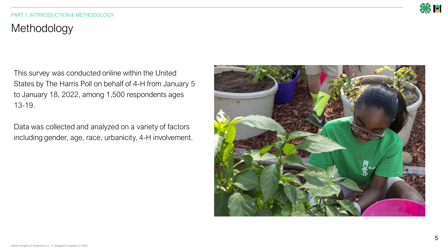

#### PART 1: INTRRODUCTION & METHODOLOGY

# Methodology

This survey was conducted online within the United States by The Harris Poll on behalf of 4-H from January 5 to January 18, 2022, among 1,500 respondents ages 13-19.

Data was collected and analyzed on a variety of factors including gender, age, race, urbanicity, 4-H involvement.

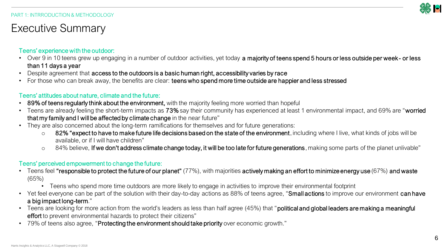

## Executive Summary

### Teens' experience with the outdoor:

- Over 9 in 10 teens grew up engaging in a number of outdoor activities, yet today a majority of teens spend 5 hours or less outside per week- or less than 11 days a year
- Despite agreement that access to the outdoors is a basic human right, accessibility varies by race
- For those who can break away, the benefits are clear: teens who spend more time outside are happier and less stressed

### Teens' attitudes about nature, climate and the future:

- 89% of teens regularly think about the environment, with the majority feeling more worried than hopeful
- Teens are already feeling the short-term impacts as 73% say their community has experienced at least 1 environmental impact, and 69% are "worried that my family and I will be affected by climate change in the near future"
- They are also concerned about the long-term ramifications for themselves and for future generations:
	- $\circ$  82% "expect to have to make future life decisions based on the state of the environment, including where I live, what kinds of jobs will be available, or if I will have children"
	- $\circ$  84% believe, If we don't address climate change today, it will be too late for future generations, making some parts of the planet unlivable"

### Teens' perceived empowerment to change the future:

- Teens feel "responsible to protect the future of our planet"  $(77%)$ , with majorities actively making an effort to minimize energy use (67%) and waste (65%)
	- Teens who spend more time outdoors are more likely to engage in activities to improve their environmental footprint
- Yet feel everyone can be part of the solution with their day-to-day actions as 88% of teens agree, "Small actions to improve our environment can have a big impact long-term."
- Teens are looking for more action from the world's leaders as less than half agree (45%) that "**political and global leaders are making a meaningful** effort to prevent environmental hazards to protect their citizens"
- 79% of teens also agree, "Protecting the environment should take priority over economic growth."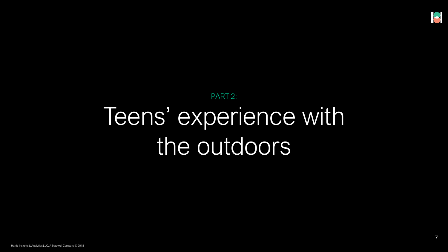# PART 2: Teens' experience with the outdoors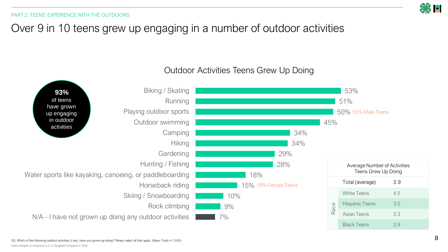# Over 9 in 10 teens grew up engaging in a number of outdoor activities



### Outdoor Activities Teens Grew Up Doing

Harris Insights & Analytics LLC, A Stagwell Company © 2018 Q3. Which of the following outdoor activities, if any, have you grown up doing? Please select all that apply. (Base: Total n=1,500)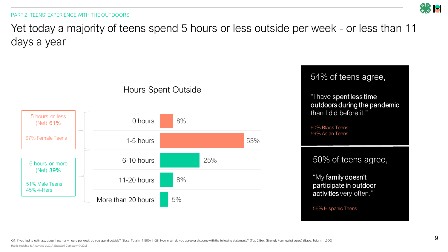# **32 B**

#### PART 2: TEENS' EXPERIENCE WITH THE OUTDOORS

Yet today a majority of teens spend 5 hours or less outside per week - or less than 11 days a year



#### Harris Insights & Analytics LLC, A Stagwell Company © 2018 Q1. If you had to estimate, about how many hours per week do you spend outside? (Base: Total n=1,500) | Q8. How much do you agree or disagree with the following statements? (Top 2 Box: Strongly / somewhat agree) (Base: Tot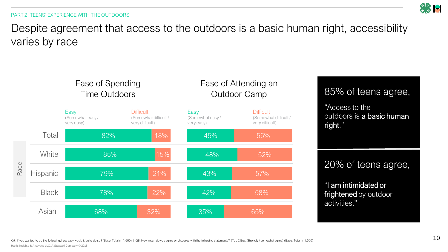PART 2: TEENS' EXPERIENCE WITH THE OUTDOORS



Despite agreement that access to the outdoors is a basic human right, accessibility varies by race

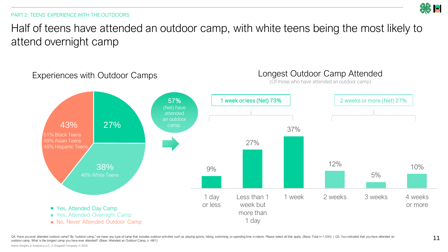#### PART 2: TEENS' EXPERIENCE WITH THE OUTDOORS

Half of teens have attended an outdoor camp, with white teens being the most likely to attend overnight camp



Q4. Have you ever attended outdoor camp? By "outdoor camp," we mean any type of camp that includes outdoor activities such as playing sports, hiking, swimming, or spending time in nature. Please select all that apply. (Bas outdoor camp. What is the longest camp you have ever attended? (Base: Attended an Outdoor Camp, n =861)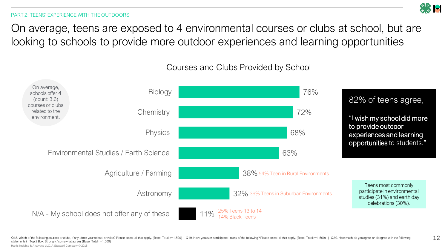

12

#### PART 2: TEENS' EXPERIENCE WITH THE OUTDOORS

On average, teens are exposed to 4 environmental courses or clubs at school, but are looking to schools to provide more outdoor experiences and learning opportunities

### Courses and Clubs Provided by School

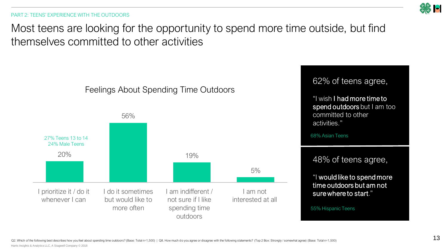PART 2: TEENS' EXPERIENCE WITH THE OUTDOORS

Most teens are looking for the opportunity to spend more time outside, but find themselves committed to other activities

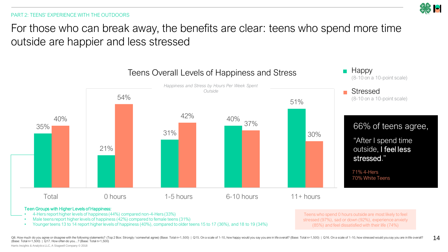PART 2: TEENS' EXPERIENCE WITH THE OUTDOORS

For those who can break away, the benefits are clear: teens who spend more time outside are happier and less stressed



#### Teen Groups with Higher Levels of Happiness:

- 4-Hers report higher levels of happiness (44%) compared non-4-Hers (33%)
- Male teens report higher levels of happiness (42%) compared to female teens (31%)
- Younger teens 13 to 14 report higher levels of happiness (40%), compared to older teens 15 to 17 (36%), and 18 to 19 (34%)

Teens who spend 0 hours outside are most likely to feel stressed (97%), sad or down (92%), experience anxiety (85%) and feel dissatisfied with their life (74%)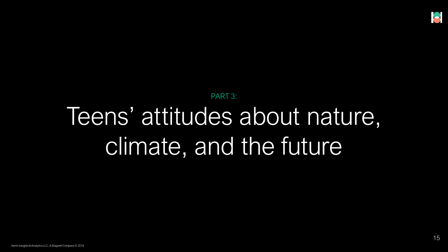# PART 3: Teens' attitudes about nature, climate, and the future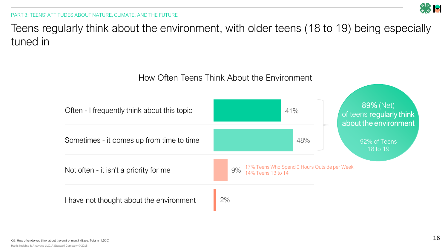

PART 3: TEENS' ATTITUDES ABOUT NATURE, CLIMATE, AND THE FUTURE

Teens regularly think about the environment, with older teens (18 to 19) being especially tuned in

## How Often Teens Think About the Environment

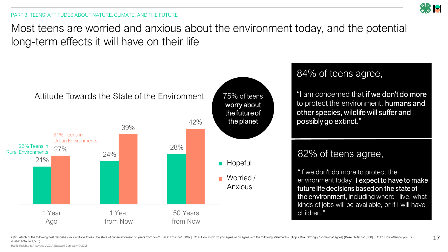Most teens are worried and anxious about the environment today, and the potential long-term effects it will have on their life



## 84% of teens agree,

"I am concerned that if we don't do more to protect the environment, humans and other species, wildlife will suffer and possibly go extinct."

## 82% of teens agree,

"If we don't do more to protect the environment today, I expect to have to make future life decisions based on the state of the environment, including where I live, what kinds of jobs will be available, or if I will have children."

Q10. Which of the following best describes your attitude toward the state of our environment 50 years from now? (Base: Total n=1,500) | Q14. How much do you agree or disagree with the following statements? (Top 2 Box: Stro (Base: Total n=1,500)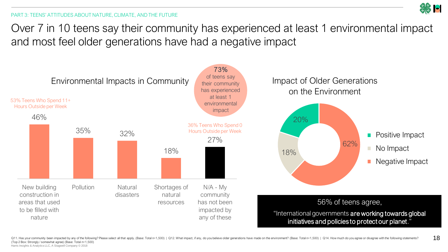Over 7 in 10 teens say their community has experienced at least 1 environmental impact and most feel older generations have had a negative impact

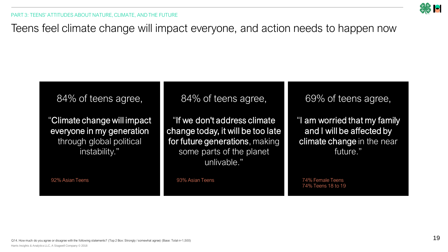

Teens feel climate change will impact everyone, and action needs to happen now

## 84% of teens agree,

"Climate change will impact everyone in my generation through global political instability."

84% of teens agree,

"If we don't address climate change today, it will be too late for future generations, making some parts of the planet unlivable."

69% of teens agree,

"I am worried that my family and I will be affected by climate change in the near future."

92% Asian Teens 93% Asian Teens 74% Female Teens 74% Teens 18 to 19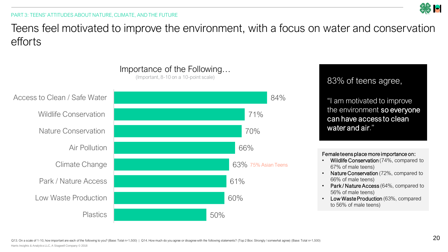# Teens feel motivated to improve the environment, with a focus on water and conservation efforts



### Importance of the Following… (Important, 8-10 on a 10-point scale)

83% of teens agree,

"I am motivated to improve the environment so everyone can have access to clean water and air."

### Female teens place more importance on:

- Wildlife Conservation (74%, compared to 67% of male teens)
- Nature Conservation (72%, compared to 66% of male teens)
- Park / Nature Access (64%, compared to 56% of male teens)
- Low Waste Production (63%, compared to 56% of male teens)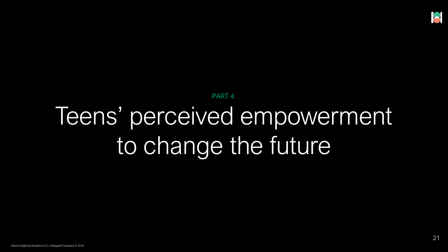# PART 4: Teens' perceived empowerment to change the future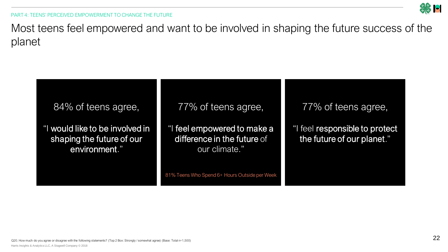PART 4: TEENS' PERCEIVED EMPOWERMENT TO CHANGE THE FUTURE

Most teens feel empowered and want to be involved in shaping the future success of the planet

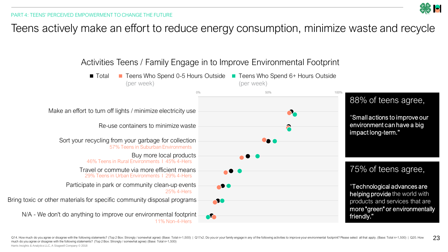

## Teens actively make an effort to reduce energy consumption, minimize waste and recycle



23 Q14. How much do you agree or disagree with the following statements? (Top 2 Box: Strongly / somewhat agree) (Base: Total n=1,500) | Q17x2. Do you or your family engage in any of the following activities to improve your en much do you agree or disagree with the following statements? (Top 2 Box: Strongly / somewhat agree) (Base: Total n=1,500)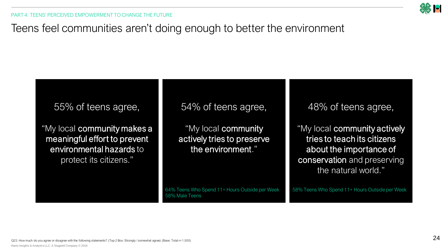

## Teens feel communities aren't doing enough to better the environment

## 55% of teens agree,

"My local community makes a meaningful effort to prevent environmental hazards to protect its citizens."

54% of teens agree,

"My local community actively tries to preserve the environment."

64% Teens Who Spend 11+ Hours Outside per Week 58% Male Teens

48% of teens agree,

"My local community actively tries to teach its citizens about the importance of conservation and preserving the natural world."

58% Teens Who Spend 11+ Hours Outside per Week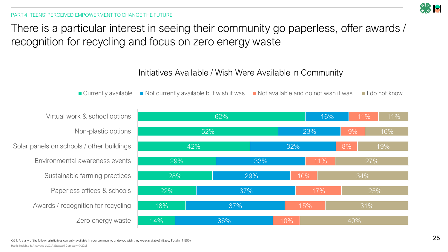

There is a particular interest in seeing their community go paperless, offer awards / recognition for recycling and focus on zero energy waste

### Initiatives Available / Wish Were Available in Community

■ Currently available Not currently available but wish it was Not available and do not wish it was I do not know

Virtual work & school options Non-plastic options Solar panels on schools / other buildings Environmental awareness events Sustainable farming practices Paperless offices & schools Awards / recognition for recycling Zero energy waste

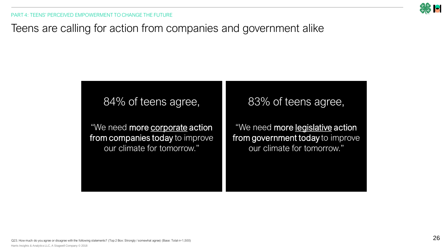

# Teens are calling for action from companies and government alike

## 84% of teens agree,

"We need more corporate action from companies today to improve our climate for tomorrow."

## 83% of teens agree,

"We need more legislative action from government today to improve our climate for tomorrow."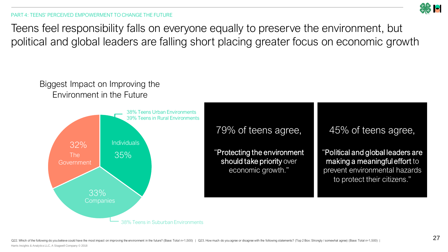

Teens feel responsibility falls on everyone equally to preserve the environment, but political and global leaders are falling short placing greater focus on economic growth

## Biggest Impact on Improving the Environment in the Future



79% of teens agree,

"Protecting the environment should take priority over economic growth."

45% of teens agree,

"Political and global leaders are making a meaningful effort to prevent environmental hazards to protect their citizens."

Q22. Which of the following do you believe could have the most impact on improving the environment in the future? (Base: Total n=1,500) | Q23. How much do you agree or disagree with the following statements? (Top 2 Box: St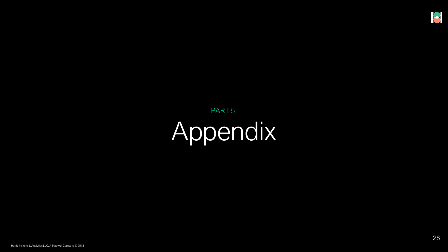# PART 5: Appendix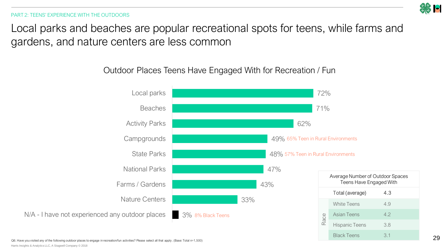PART 2: TEENS' EXPERIENCE WITH THE OUTDOORS

Local parks and beaches are popular recreational spots for teens, while farms and gardens, and nature centers are less common

## Outdoor Places Teens Have Engaged With for Recreation / Fun



Harris Insights & Analytics LLC, A Stagwell Company © 2018 Q6. Have you visited any of the following outdoor places to engage in recreation/fun activities? Please select all that apply . (Base: Total n=1,500)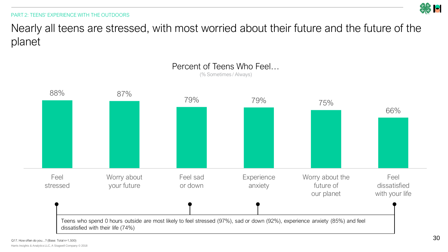

Nearly all teens are stressed, with most worried about their future and the future of the planet